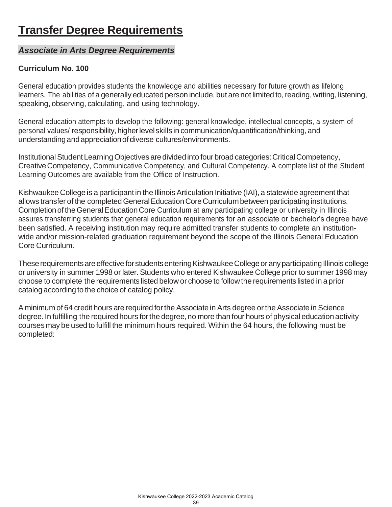# **Transfer Degree Requirements**

### *Associate in Arts Degree Requirements*

### **Curriculum No. 100**

General education provides students the knowledge and abilities necessary for future growth as lifelong learners. The abilities of a generally educated person include, but are not limited to, reading, writing, listening, speaking, observing, calculating, and using technology.

General education attempts to develop the following: general knowledge, intellectual concepts, a system of personal values/ responsibility, higher level skills in communication/quantification/thinking, and understandingandappreciationofdiverse cultures/environments.

Institutional Student Learning Objectives are divided into four broad categories: Critical Competency, CreativeCompetency, Communicative Competency, and Cultural Competency. A complete list of the Student Learning Outcomes are available from the Office of Instruction.

Kishwaukee College is a participant in the Illinois Articulation Initiative (IAI), a statewide agreement that allows transfer of the completed General Education Core Curriculum between participating institutions. Completion of the General Education Core Curriculum at any participating college or university in Illinois assures transferring students that general education requirements for an associate or bachelor's degree have been satisfied. A receiving institution may require admitted transfer students to complete an institutionwide and/or mission-related graduation requirement beyond the scope of the Illinois General Education Core Curriculum.

These requirements are effective for students entering Kishwaukee College or any participating Illinois college or university in summer 1998 or later. Students who entered Kishwaukee College prior to summer 1998 may choose to complete the requirements listed below or choose to followthe requirements listed in a prior catalogaccording to the choice of catalog policy.

A minimum of 64 credit hours are required forthe Associate in Arts degree orthe Associate in Science degree. In fulfilling the required hours for the degree, no more than four hours of physical education activity courses may be used to fulfill the minimum hours required. Within the 64 hours, the following must be completed: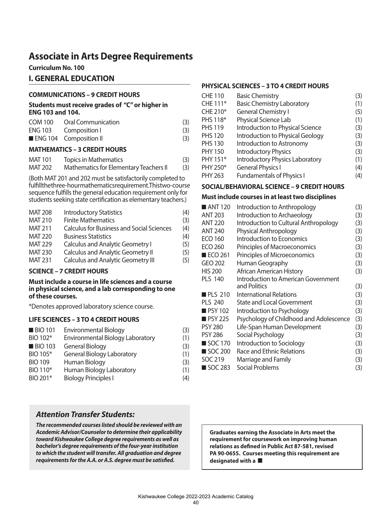## **Associate in Arts Degree Requirements**

**Curriculum No. 100**

### **I. GENERAL EDUCATION**

#### **COMMUNICATIONS – 9 CREDIT HOURS**

#### **Students must receive grades of "C" or higher in ENG 103 and 104.**

| COM 100 Oral Communication | (3) |
|----------------------------|-----|
| ENG 103 Composition I      | (3) |
| ENG 104 Composition II     | (3) |

#### **MATHEMATICS – 3 CREDIT HOURS**

| MAT 101        | <b>Topics in Mathematics</b>           | (3) |
|----------------|----------------------------------------|-----|
| <b>MAT 202</b> | Mathematics for Elementary Teachers II | (3) |

(Both MAT 201 and 202 must be satisfactorily completed to fulfill the three-hour mathematics requirement. This two-course sequence fulfills the general education requirement only for students seeking state certification as elementary teachers.)

| <b>MAT 208</b> | <b>Introductory Statistics</b>                   | (4) |
|----------------|--------------------------------------------------|-----|
| <b>MAT 210</b> | <b>Finite Mathematics</b>                        | (3) |
| <b>MAT 211</b> | <b>Calculus for Business and Social Sciences</b> | (4) |
| <b>MAT 220</b> | <b>Business Statistics</b>                       | (4) |
| <b>MAT 229</b> | <b>Calculus and Analytic Geometry I</b>          | (5) |
| <b>MAT 230</b> | <b>Calculus and Analytic Geometry II</b>         | (5) |
| <b>MAT 231</b> | <b>Calculus and Analytic Geometry III</b>        | (5) |

#### **SCIENCE – 7 CREDIT HOURS**

#### **Must include a course in life sciences and a course in physical science, and a lab corresponding to one of these courses.**

\*Denotes approved laboratory science course.

#### **LIFE SCIENCES – 3 TO 4 CREDIT HOURS**

| <b>BIO 101</b> | <b>Environmental Biology</b>      | (3) |
|----------------|-----------------------------------|-----|
| BIO 102*       | Environmental Biology Laboratory  | (1) |
| <b>BIO 103</b> | <b>General Biology</b>            | (3) |
| BIO 105*       | <b>General Biology Laboratory</b> | (1) |
| <b>BIO 109</b> | Human Biology                     | (3) |
| BIO 110*       | Human Biology Laboratory          | (1) |
| BIO 201*       | <b>Biology Principles I</b>       | (4) |

### *Attention Transfer Students:*

*The recommended courses listed should be reviewed with an Academic Advisor/Counselor to determine their applicability toward Kishwaukee College degree requirements as well as bachelor's degree requirements of the four-year institution to which the student will transfer. All graduation and degree requirements for the A.A. or A.S. degree must be satisfied.*

#### **PHYSICAL SCIENCES – 3 TO 4 CREDIT HOURS**

| CHE 110        | <b>Basic Chemistry</b>                 | (3) |
|----------------|----------------------------------------|-----|
| CHE 111*       | <b>Basic Chemistry Laboratory</b>      | (1) |
| CHE 210*       | <b>General Chemistry I</b>             | (5) |
| PHS 118*       | Physical Science Lab                   | (1) |
| <b>PHS 119</b> | Introduction to Physical Science       | (3) |
| <b>PHS 120</b> | Introduction to Physical Geology       | (3) |
| <b>PHS 130</b> | Introduction to Astronomy              | (3) |
| PHY 150        | <b>Introductory Physics</b>            | (3) |
| PHY 151*       | <b>Introductory Physics Laboratory</b> | (1) |
| PHY 250*       | <b>General Physics I</b>               | (4) |
| PHY 263        | <b>Fundamentals of Physics I</b>       | (4) |

#### **SOCIAL/BEHAVIORAL SCIENCE – 9 CREDIT HOURS**

#### **Must include courses in at least two disciplines**

| $\blacksquare$ ANT 120 | Introduction to Anthropology               | (3) |
|------------------------|--------------------------------------------|-----|
| <b>ANT 203</b>         | Introduction to Archaeology                | (3) |
| <b>ANT 220</b>         | Introduction to Cultural Anthropology      | (3) |
| <b>ANT 240</b>         | <b>Physical Anthropology</b>               | (3) |
| <b>ECO 160</b>         | Introduction to Economics                  | (3) |
| <b>ECO 260</b>         | Principles of Macroeconomics               | (3) |
| $ECO$ 261              | Principles of Microeconomics               | (3) |
| GEO 202                | Human Geography                            | (3) |
| <b>HIS 200</b>         | African American History                   | (3) |
| <b>PLS 140</b>         | <b>Introduction to American Government</b> |     |
|                        | and Politics                               | (3) |
| <b>PLS 210</b>         | International Relations                    | (3) |
| <b>PLS 240</b>         | <b>State and Local Government</b>          | (3) |
| <b>PSY 102</b>         | Introduction to Psychology                 | (3) |
| <b>PSY 225</b>         | Psychology of Childhood and Adolescence    | (3) |
| <b>PSY 280</b>         | Life-Span Human Development                | (3) |
| <b>PSY 286</b>         | Social Psychology                          | (3) |
| ■ SOC 170              | Introduction to Sociology                  | (3) |
| ■ SOC 200              | Race and Ethnic Relations                  | (3) |
| SOC 219                | Marriage and Family                        | (3) |
| ■ SOC 283              | Social Problems                            | (3) |

**Graduates earning the Associate in Arts meet the requirement for coursework on improving human relations as defined in Public Act 87-581, revised PA 90-0655. Courses meeting this requirement are designated with a**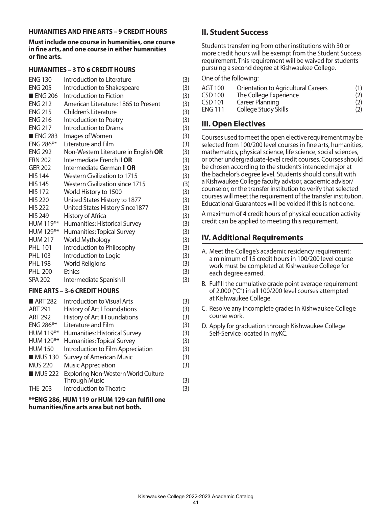#### **HUMANITIES AND FINE ARTS – 9 CREDIT HOURS**

**Must include one course in humanities, one course in fine arts, and one course in either humanities or fine arts.**

#### **HUMANITIES – 3 TO 6 CREDIT HOURS**

| <b>ENG 130</b>         | Introduction to Literature                       | (3) |
|------------------------|--------------------------------------------------|-----|
| <b>ENG 205</b>         | Introduction to Shakespeare                      | (3) |
| $\blacksquare$ ENG 206 | Introduction to Fiction                          | (3) |
| <b>ENG 212</b>         | American Literature: 1865 to Present             | (3) |
| <b>ENG 215</b>         | Children's Literature                            | (3) |
| <b>ENG 216</b>         | Introduction to Poetry                           | (3) |
| <b>ENG 217</b>         | Introduction to Drama                            | (3) |
| <b>ENG 283</b>         | Images of Women                                  | (3) |
| ENG 286**              | Literature and Film                              | (3) |
| <b>ENG 292</b>         | Non-Western Literature in English OR             | (3) |
| <b>FRN 202</b>         | Intermediate French II OR                        | (3) |
| <b>GER 202</b>         | Intermediate German II OR                        | (3) |
| <b>HIS 144</b>         | Western Civilization to 1715                     | (3) |
| <b>HIS 145</b>         | <b>Western Civilization since 1715</b>           | (3) |
| <b>HIS 172</b>         | World History to 1500                            | (3) |
| <b>HIS 220</b>         | United States History to 1877                    | (3) |
| <b>HIS 222</b>         | United States History Since1877                  | (3) |
| <b>HIS 249</b>         | History of Africa                                | (3) |
| HUM 119**              | Humanities: Historical Survey                    | (3) |
| HUM 129**              | Humanities: Topical Survey                       | (3) |
| <b>HUM 217</b>         | World Mythology                                  | (3) |
| <b>PHL 101</b>         | Introduction to Philosophy                       | (3) |
| <b>PHL 103</b>         | Introduction to Logic                            | (3) |
| <b>PHL 198</b>         | <b>World Religions</b>                           | (3) |
| <b>PHL 200</b>         | <b>Ethics</b>                                    | (3) |
| SPA 202                | Intermediate Spanish II                          | (3) |
|                        | <b>FINE ARTS - 3-6 CREDIT HOURS</b>              |     |
|                        | $\blacksquare$ ADT 303 . Lituation to V and Auto | (2) |

| ART 282        | Introduction to Visual Arts         | (3) |
|----------------|-------------------------------------|-----|
| <b>ART 291</b> | History of Art I Foundations        | (3) |
| <b>ART 292</b> | History of Art II Foundations       | (3) |
| ENG 286**      | Literature and Film                 | (3) |
| HUM 119**      | Humanities: Historical Survey       | (3) |
| HUM 129**      | Humanities: Topical Survey          | (3) |
| <b>HUM 150</b> | Introduction to Film Appreciation   | (3) |
| <b>MUS130</b>  | <b>Survey of American Music</b>     | (3) |
| <b>MUS 220</b> | <b>Music Appreciation</b>           | (3) |
| MUS 222        | Exploring Non-Western World Culture |     |
|                | <b>Through Music</b>                | (3) |
| <b>THE 203</b> | Introduction to Theatre             | (3) |

| **ENG 286, HUM 119 or HUM 129 can fulfill one |  |
|-----------------------------------------------|--|
| humanities/fine arts area but not both.       |  |

### **II. Student Success**

Students transferring from other institutions with 30 or more credit hours will be exempt from the Student Success requirement. This requirement will be waived for students pursuing a second degree at Kishwaukee College.

One of the following:

| <b>AGT 100</b> | <b>Orientation to Agricultural Careers</b> | (1) |
|----------------|--------------------------------------------|-----|
| CSD 100        | The College Experience                     | (2) |
| CSD 101        | Career Planning                            | (2) |
| <b>ENG 111</b> | College Study Skills                       | (2) |

### **III. Open Electives**

Courses used to meet the open elective requirement may be selected from 100/200 level courses in fine arts, humanities, mathematics, physical science, life science, social sciences, or other undergraduate-level credit courses. Courses should be chosen according to the student's intended major at the bachelor's degree level. Students should consult with a Kishwaukee College faculty advisor, academic advisor/ counselor, or the transfer institution to verify that selected courses will meet the requirement of the transfer institution. Educational Guarantees will be voided if this is not done.

A maximum of 4 credit hours of physical education activity credit can be applied to meeting this requirement.

### **IV. Additional Requirements**

- A. Meet the College's academic residency requirement: a minimum of 15 credit hours in 100/200 level course work must be completed at Kishwaukee College for each degree earned.
- B. Fulfill the cumulative grade point average requirement of 2.000 ("C") in all 100/200 level courses attempted at Kishwaukee College.
- C. Resolve any incomplete grades in Kishwaukee College course work.
- D. Apply for graduation through Kishwaukee College Self-Service located in myKC.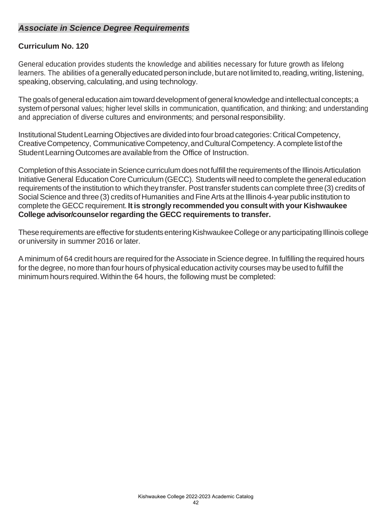### *Associate in Science Degree Requirements*

### **Curriculum No. 120**

General education provides students the knowledge and abilities necessary for future growth as lifelong learners. The abilities of a generally educated person include, but are not limited to, reading, writing, listening, speaking, observing, calculating, and using technology.

The goals of general education aim toward development of general knowledge and intellectual concepts; a system of personal values; higher level skills in communication, quantification, and thinking; and understanding and appreciation of diverse cultures and environments; and personal responsibility.

Institutional Student Learning Objectives are divided into four broad categories: Critical Competency, Creative Competency, Communicative Competency, and Cultural Competency. A complete list of the Student Learning Outcomes are available from the Office of Instruction.

Completion of this Associate in Science curriculum does not fulfill the requirements of the Illinois Articulation InitiativeGeneral Education Core Curriculum (GECC). Students will need to complete the general education requirementsof the institution to which they transfer. Post transfer students can complete three(3) credits of Social Science and three (3) credits of Humanities and Fine Arts at the Illinois 4-year public institution to complete the GECC requirement. **It is strongly recommended you consult with your Kishwaukee College advisor/counselor regarding the GECC requirements to transfer.**

These requirements are effective for students entering Kishwaukee College or any participating Illinois college or university in summer 2016 or later.

A minimum of 64 credit hours are required forthe Associate in Science degree. In fulfilling the required hours for the degree, no more than four hours of physical education activity courses may be used to fulfill the minimum hours required.Within the 64 hours, the following must be completed: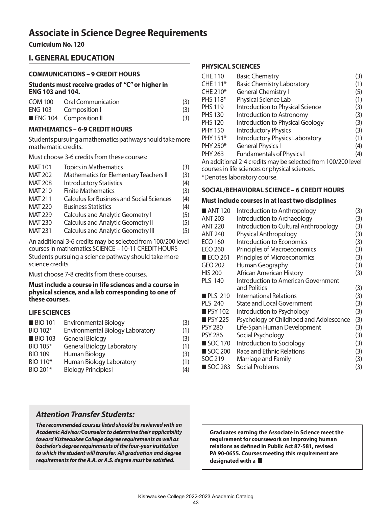## **Associate in Science Degree Requirements**

**Curriculum No. 120**

### **I. GENERAL EDUCATION**

#### **COMMUNICATIONS – 9 CREDIT HOURS**

**Students must receive grades of "C" or higher in ENG 103 and 104.**

| COM 100 Oral Communication | (3) |
|----------------------------|-----|
| ENG 103 Composition I      | (3) |
| ENG 104 Composition II     | (3) |

#### **MATHEMATICS – 6-9 CREDIT HOURS**

Students pursuing a mathematics pathway should take more mathematic credits.

Must choose 3-6 credits from these courses:

| <b>MAT 101</b> | <b>Topics in Mathematics</b>                     | (3) |
|----------------|--------------------------------------------------|-----|
| <b>MAT 202</b> | Mathematics for Elementary Teachers II           | (3) |
| <b>MAT 208</b> | <b>Introductory Statistics</b>                   | (4) |
| <b>MAT 210</b> | <b>Finite Mathematics</b>                        | (3) |
| <b>MAT 211</b> | <b>Calculus for Business and Social Sciences</b> | (4) |
| <b>MAT 220</b> | <b>Business Statistics</b>                       | (4) |
| <b>MAT 229</b> | <b>Calculus and Analytic Geometry I</b>          | (5) |
| <b>MAT 230</b> | <b>Calculus and Analytic Geometry II</b>         | (5) |
| <b>MAT 231</b> | <b>Calculus and Analytic Geometry III</b>        | (5) |
|                |                                                  |     |

An additional 3-6 credits may be selected from 100/200 level courses in mathematics.SCIENCE – 10-11 CREDIT HOURS Students pursuing a science pathway should take more science credits.

Must choose 7-8 credits from these courses.

#### **Must include a course in life sciences and a course in physical science, and a lab corresponding to one of these courses.**

#### **LIFE SCIENCES**

| <b>Environmental Biology</b>      | (3) |
|-----------------------------------|-----|
| Environmental Biology Laboratory  | (1) |
| <b>General Biology</b>            | (3) |
| <b>General Biology Laboratory</b> | (1) |
| Human Biology                     | (3) |
| Human Biology Laboratory          | (1) |
| <b>Biology Principles I</b>       | (4) |
|                                   |     |

#### **PHYSICAL SCIENCES**

| <b>CHE 110</b>                                               | <b>Basic Chemistry</b>                        | (3) |
|--------------------------------------------------------------|-----------------------------------------------|-----|
| CHE 111*                                                     | <b>Basic Chemistry Laboratory</b>             | (1) |
| CHE 210*                                                     | <b>General Chemistry I</b>                    | (5) |
| PHS 118*                                                     | Physical Science Lab                          | (1) |
| <b>PHS 119</b>                                               | Introduction to Physical Science              | (3) |
| <b>PHS 130</b>                                               | Introduction to Astronomy                     | (3) |
| <b>PHS 120</b>                                               | Introduction to Physical Geology              | (3) |
| <b>PHY 150</b>                                               | <b>Introductory Physics</b>                   | (3) |
| PHY 151*                                                     | Introductory Physics Laboratory               | (1) |
| PHY 250*                                                     | <b>General Physics I</b>                      | (4) |
| <b>PHY 263</b>                                               | <b>Fundamentals of Physics I</b>              | (4) |
| An additional 2-4 credits may be selected from 100/200 level |                                               |     |
|                                                              | courses in life sciences or physical sciences |     |

courses in life sciences or physical sciences.

\*Denotes laboratory course.

#### **SOCIAL/BEHAVIORAL SCIENCE – 6 CREDIT HOURS**

#### **Must include courses in at least two disciplines**

| $\blacksquare$ ANT 120 | Introduction to Anthropology            | (3) |
|------------------------|-----------------------------------------|-----|
| <b>ANT 203</b>         | Introduction to Archaeology             | (3) |
| <b>ANT 220</b>         | Introduction to Cultural Anthropology   | (3) |
| <b>ANT 240</b>         | <b>Physical Anthropology</b>            | (3) |
| <b>ECO 160</b>         | Introduction to Economics               | (3) |
| <b>ECO 260</b>         | Principles of Macroeconomics            | (3) |
| $\blacksquare$ ECO 261 | Principles of Microeconomics            | (3) |
| GEO 202                | Human Geography                         | (3) |
| <b>HIS 200</b>         | African American History                | (3) |
| <b>PLS 140</b>         | Introduction to American Government     |     |
|                        | and Politics                            | (3) |
| <b>PLS 210</b>         | International Relations                 | (3) |
| <b>PLS 240</b>         | <b>State and Local Government</b>       | (3) |
| <b>PSY</b> 102         | Introduction to Psychology              | (3) |
| $PSY$ 225              | Psychology of Childhood and Adolescence | (3) |
| <b>PSY 280</b>         | Life-Span Human Development             | (3) |
| <b>PSY 286</b>         | Social Psychology                       | (3) |
| ■ SOC 170              | Introduction to Sociology               | (3) |
| ■ SOC 200              | Race and Ethnic Relations               | (3) |
| SOC 219                | Marriage and Family                     | (3) |
| ■ SOC 283              | Social Problems                         | (3) |

### *Attention Transfer Students:*

*The recommended courses listed should be reviewed with an Academic Advisor/Counselor to determine their applicability toward Kishwaukee College degree requirements as well as bachelor's degree requirements of the four-year institution to which the student will transfer. All graduation and degree requirements for the A.A. or A.S. degree must be satisfied.*

**Graduates earning the Associate in Science meet the requirement for coursework on improving human relations as defined in Public Act 87-581, revised PA 90-0655. Courses meeting this requirement are designated with a**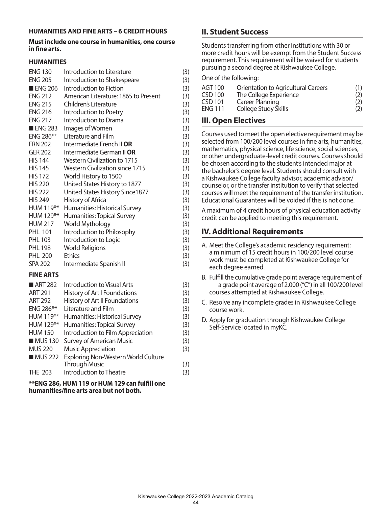#### **HUMANITIES AND FINE ARTS – 6 CREDIT HOURS**

#### **Must include one course in humanities, one course in fine arts.**

#### **HUMANITIES**

| <b>ENG 130</b>         | Introduction to Literature             | (3) |
|------------------------|----------------------------------------|-----|
| <b>ENG 205</b>         | Introduction to Shakespeare            | (3) |
| $\blacksquare$ ENG 206 | Introduction to Fiction                | (3) |
| <b>ENG 212</b>         | American Literature: 1865 to Present   | (3) |
| <b>ENG 215</b>         | Children's Literature                  | (3) |
| <b>ENG 216</b>         | Introduction to Poetry                 | (3) |
| <b>ENG 217</b>         | Introduction to Drama                  | (3) |
| <b>ENG 283</b>         | Images of Women                        | (3) |
| ENG 286**              | Literature and Film                    | (3) |
| <b>FRN 202</b>         | Intermediate French II OR              | (3) |
| <b>GER 202</b>         | Intermediate German II OR              | (3) |
| <b>HIS 144</b>         | <b>Western Civilization to 1715</b>    | (3) |
| <b>HIS 145</b>         | <b>Western Civilization since 1715</b> | (3) |
| <b>HIS 172</b>         | World History to 1500                  | (3) |
| <b>HIS 220</b>         | United States History to 1877          | (3) |
| <b>HIS 222</b>         | United States History Since1877        | (3) |
| <b>HIS 249</b>         | History of Africa                      | (3) |
| HUM 119**              | Humanities: Historical Survey          | (3) |
| HUM 129**              | Humanities: Topical Survey             | (3) |
| <b>HUM 217</b>         | World Mythology                        | (3) |
| <b>PHL 101</b>         | Introduction to Philosophy             | (3) |
| PHL 103                | Introduction to Logic                  | (3) |
| <b>PHL 198</b>         | <b>World Religions</b>                 | (3) |
| <b>PHL 200</b>         | <b>Ethics</b>                          | (3) |
| <b>SPA 202</b>         | Intermediate Spanish II                | (3) |
| FINIF A BEA            |                                        |     |

#### **FINE ARTS**

| ART 282        | <b>Introduction to Visual Arts</b>         | (3) |
|----------------|--------------------------------------------|-----|
| <b>ART 291</b> | History of Art I Foundations               | (3) |
| <b>ART 292</b> | History of Art II Foundations              | (3) |
| ENG 286**      | Literature and Film                        | (3) |
| HUM 119**      | Humanities: Historical Survey              | (3) |
| HUM 129**      | Humanities: Topical Survey                 | (3) |
| <b>HUM 150</b> | Introduction to Film Appreciation          | (3) |
| <b>MUS130</b>  | <b>Survey of American Music</b>            | (3) |
| <b>MUS 220</b> | <b>Music Appreciation</b>                  | (3) |
| <b>MUS 222</b> | <b>Exploring Non-Western World Culture</b> |     |
|                | <b>Through Music</b>                       | (3) |
| <b>THE 203</b> | Introduction to Theatre                    | (3) |

**\*\*ENG 286, HUM 119 or HUM 129 can fulfill one humanities/fine arts area but not both.**

### **II. Student Success**

Students transferring from other institutions with 30 or more credit hours will be exempt from the Student Success requirement. This requirement will be waived for students pursuing a second degree at Kishwaukee College.

One of the following:

| AGT 100        | <b>Orientation to Agricultural Careers</b> | (1) |
|----------------|--------------------------------------------|-----|
| CSD 100        | The College Experience                     | (2) |
| CSD 101        | Career Planning                            | (2) |
| <b>ENG 111</b> | College Study Skills                       | (2) |

### **III. Open Electives**

Courses used to meet the open elective requirement may be selected from 100/200 level courses in fine arts, humanities, mathematics, physical science, life science, social sciences, or other undergraduate-level credit courses. Courses should be chosen according to the student's intended major at the bachelor's degree level. Students should consult with a Kishwaukee College faculty advisor, academic advisor/ counselor, or the transfer institution to verify that selected courses will meet the requirement of the transfer institution. Educational Guarantees will be voided if this is not done.

A maximum of 4 credit hours of physical education activity credit can be applied to meeting this requirement.

### **IV. Additional Requirements**

- A. Meet the College's academic residency requirement: a minimum of 15 credit hours in 100/200 level course work must be completed at Kishwaukee College for each degree earned.
- B. Fulfill the cumulative grade point average requirement of a grade point average of 2.000 ("C") in all 100/200 level courses attempted at Kishwaukee College.
- C. Resolve any incomplete grades in Kishwaukee College course work.
- D. Apply for graduation through Kishwaukee College Self-Service located in myKC.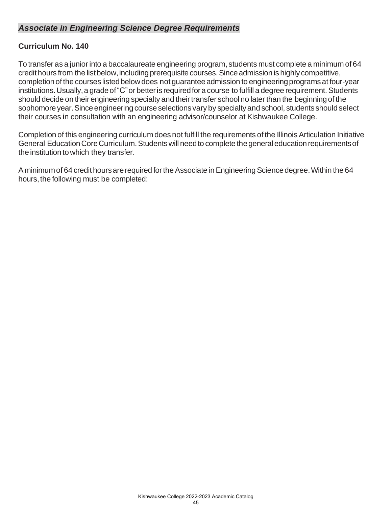### *Associate in Engineering Science Degree Requirements*

### **Curriculum No. 140**

To transfer as a junior into a baccalaureate engineering program, students must complete a minimum of 64 credit hours from the list below, including prerequisite courses. Since admission is highly competitive, completion of the courses listed below does not quarantee admission to engineering programs at four-year institutions. Usually, a grade of "C" or better is required for a course to fulfill a degree requirement. Students should decide on their engineering specialty and their transfer school no later than the beginning of the sophomore year. Since engineering course selections vary by specialty and school, students should select their courses in consultation with an engineering advisor/counselor at Kishwaukee College.

Completion of this engineering curriculum does not fulfill the requirements of the Illinois Articulation Initiative General Education Core Curriculum. Students will need to complete the general education requirements of the institution to which they transfer.

A minimum of 64 credit hours are required for the Associate in Engineering Science degree. Within the 64 hours, the following must be completed: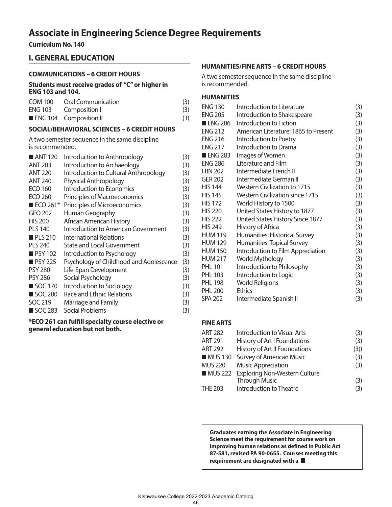## **Associate in Engineering Science Degree Requirements**

**Curriculum No. 140** 

### **I. GENERAL EDUCATION**

#### **COMMUNICATIONS – 6 CREDIT HOURS**

**Students must receive grades of "C" or higher in ENG 103 and 104.**

| COM 100 Oral Communication | (3) |
|----------------------------|-----|
| ENG 103 Composition I      | (3) |
| ENG 104 Composition II     | (3) |

#### **SOCIAL/BEHAVIORAL SCIENCES – 6 CREDIT HOURS**

A two semester sequence in the same discipline is recommended.

| ANT 120                 | Introduction to Anthropology            | (3) |
|-------------------------|-----------------------------------------|-----|
| <b>ANT 203</b>          | Introduction to Archaeology             | (3) |
| <b>ANT 220</b>          | Introduction to Cultural Anthropology   | (3) |
| <b>ANT 240</b>          | <b>Physical Anthropology</b>            | (3) |
| <b>ECO 160</b>          | Introduction to Economics               | (3) |
| <b>ECO 260</b>          | Principles of Macroeconomics            | (3) |
| $\blacksquare$ ECO 261* | Principles of Microeconomics            | (3) |
| GEO 202                 | Human Geography                         | (3) |
| <b>HIS 200</b>          | African American History                | (3) |
| <b>PLS 140</b>          | Introduction to American Government     | (3) |
| $\blacksquare$ PLS 210  | <b>International Relations</b>          | (3) |
| <b>PLS 240</b>          | <b>State and Local Government</b>       | (3) |
| <b>PSY 102</b>          | Introduction to Psychology              | (3) |
| <b>PSY 225</b>          | Psychology of Childhood and Adolescence | (3) |
| <b>PSY 280</b>          | Life-Span Development                   | (3) |
| <b>PSY 286</b>          | Social Psychology                       | (3) |
| SOC 170                 | Introduction to Sociology               | (3) |
| SOC 200                 | <b>Race and Ethnic Relations</b>        | (3) |
| SOC 219                 | Marriage and Family                     | (3) |
| ■ SOC 283               | Social Problems                         | (3) |
|                         |                                         |     |

**\*ECO 261 can fulfill specialty course elective or general education but not both.**

#### **HUMANITIES/FINE ARTS – 6 CREDIT HOURS**

A two semester sequence in the same discipline is recommended.

#### **HUMANITIES**

| <b>ENG 205</b><br>Introduction to Shakespeare<br>(3)<br><b>ENG 206</b><br>Introduction to Fiction<br>(3)<br><b>ENG 212</b><br>American Literature: 1865 to Present<br>(3)<br><b>ENG 216</b><br>(3)<br>Introduction to Poetry<br><b>ENG 217</b><br>Introduction to Drama<br>(3)<br><b>ENG 283</b><br>Images of Women<br>(3)<br><b>ENG 286</b><br>Literature and Film<br>(3)<br><b>FRN 202</b><br>Intermediate French II<br>(3)<br><b>GER 202</b><br>Intermediate German II<br><b>HIS 144</b><br>Western Civilization to 1715<br>(3)<br><b>Western Civilization since 1715</b><br><b>HIS 145</b><br>(3)<br><b>HIS 172</b><br>(3)<br>World History to 1500<br>United States History to 1877<br><b>HIS 220</b><br>(3)<br><b>HIS 222</b><br>United States History Since 1877<br>(3)<br><b>HIS 249</b><br>History of Africa |
|-----------------------------------------------------------------------------------------------------------------------------------------------------------------------------------------------------------------------------------------------------------------------------------------------------------------------------------------------------------------------------------------------------------------------------------------------------------------------------------------------------------------------------------------------------------------------------------------------------------------------------------------------------------------------------------------------------------------------------------------------------------------------------------------------------------------------|
| (3)<br>(3)                                                                                                                                                                                                                                                                                                                                                                                                                                                                                                                                                                                                                                                                                                                                                                                                            |
|                                                                                                                                                                                                                                                                                                                                                                                                                                                                                                                                                                                                                                                                                                                                                                                                                       |
|                                                                                                                                                                                                                                                                                                                                                                                                                                                                                                                                                                                                                                                                                                                                                                                                                       |
|                                                                                                                                                                                                                                                                                                                                                                                                                                                                                                                                                                                                                                                                                                                                                                                                                       |
|                                                                                                                                                                                                                                                                                                                                                                                                                                                                                                                                                                                                                                                                                                                                                                                                                       |
|                                                                                                                                                                                                                                                                                                                                                                                                                                                                                                                                                                                                                                                                                                                                                                                                                       |
|                                                                                                                                                                                                                                                                                                                                                                                                                                                                                                                                                                                                                                                                                                                                                                                                                       |
|                                                                                                                                                                                                                                                                                                                                                                                                                                                                                                                                                                                                                                                                                                                                                                                                                       |
|                                                                                                                                                                                                                                                                                                                                                                                                                                                                                                                                                                                                                                                                                                                                                                                                                       |
|                                                                                                                                                                                                                                                                                                                                                                                                                                                                                                                                                                                                                                                                                                                                                                                                                       |
|                                                                                                                                                                                                                                                                                                                                                                                                                                                                                                                                                                                                                                                                                                                                                                                                                       |
|                                                                                                                                                                                                                                                                                                                                                                                                                                                                                                                                                                                                                                                                                                                                                                                                                       |
|                                                                                                                                                                                                                                                                                                                                                                                                                                                                                                                                                                                                                                                                                                                                                                                                                       |
|                                                                                                                                                                                                                                                                                                                                                                                                                                                                                                                                                                                                                                                                                                                                                                                                                       |
|                                                                                                                                                                                                                                                                                                                                                                                                                                                                                                                                                                                                                                                                                                                                                                                                                       |
| <b>HUM 119</b><br>Humanities: Historical Survey<br>(3)                                                                                                                                                                                                                                                                                                                                                                                                                                                                                                                                                                                                                                                                                                                                                                |
| <b>HUM 129</b><br>Humanities: Topical Survey<br>(3)                                                                                                                                                                                                                                                                                                                                                                                                                                                                                                                                                                                                                                                                                                                                                                   |
| Introduction to Film Appreciation<br><b>HUM 150</b><br>(3)                                                                                                                                                                                                                                                                                                                                                                                                                                                                                                                                                                                                                                                                                                                                                            |
| World Mythology<br><b>HUM 217</b><br>(3)                                                                                                                                                                                                                                                                                                                                                                                                                                                                                                                                                                                                                                                                                                                                                                              |
| <b>PHL 101</b><br>Introduction to Philosophy<br>(3)                                                                                                                                                                                                                                                                                                                                                                                                                                                                                                                                                                                                                                                                                                                                                                   |
| <b>PHL 103</b><br>Introduction to Logic<br>(3)                                                                                                                                                                                                                                                                                                                                                                                                                                                                                                                                                                                                                                                                                                                                                                        |
| <b>PHL 198</b><br><b>World Religions</b><br>(3)                                                                                                                                                                                                                                                                                                                                                                                                                                                                                                                                                                                                                                                                                                                                                                       |
| <b>Ethics</b><br><b>PHL 200</b><br>(3)                                                                                                                                                                                                                                                                                                                                                                                                                                                                                                                                                                                                                                                                                                                                                                                |
| <b>SPA 202</b><br>Intermediate Spanish II<br>(3)                                                                                                                                                                                                                                                                                                                                                                                                                                                                                                                                                                                                                                                                                                                                                                      |

#### **FINE ARTS**

| Introduction to Visual Arts           | (3) |
|---------------------------------------|-----|
| History of Art I Foundations          | (3) |
| History of Art II Foundations         | (3) |
| <b>Survey of American Music</b>       | (3) |
| <b>Music Appreciation</b>             | (3) |
| MUS 222 Exploring Non-Western Culture |     |
| <b>Through Music</b>                  | (3) |
| Introduction to Theatre               | (3) |
|                                       |     |

**Graduates earning the Associate in Engineering Science meet the requirement for course work on improving human relations as defined in Public Act 87-581, revised PA 90-0655. Courses meeting this requirement are designated with a**  $\blacksquare$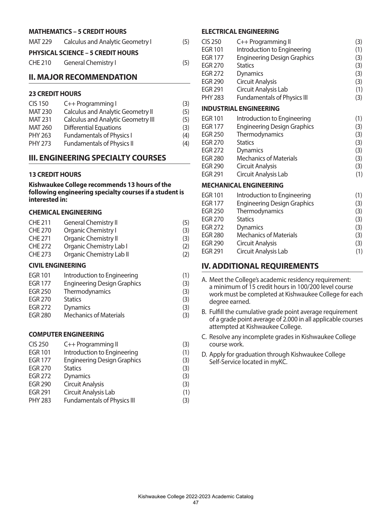#### **MATHEMATICS – 5 CREDIT HOURS**

| MAT 229 | <b>Calculus and Analytic Geometry I</b>  | (5) |
|---------|------------------------------------------|-----|
|         | <b>PHYSICAL SCIENCE - 5 CREDIT HOURS</b> |     |
| CHE 210 | <b>General Chemistry I</b>               | (5) |

#### **II. MAJOR RECOMMENDATION**

#### **23 CREDIT HOURS**

| <b>CIS 150</b> | C++ Programming I                         | (3) |
|----------------|-------------------------------------------|-----|
| <b>MAT 230</b> | <b>Calculus and Analytic Geometry II</b>  | (5) |
| <b>MAT 231</b> | <b>Calculus and Analytic Geometry III</b> | (5) |
| <b>MAT 260</b> | <b>Differential Equations</b>             | (3) |
| <b>PHY 263</b> | <b>Fundamentals of Physics I</b>          | (4) |
| <b>PHY 273</b> | <b>Fundamentals of Physics II</b>         | (4) |

#### **III. ENGINEERING SPECIALTY COURSES**

#### **13 CREDIT HOURS**

**Kishwaukee College recommends 13 hours of the following engineering specialty courses if a student is interested in:**

#### **CHEMICAL ENGINEERING**

| <b>CHE 211</b> | <b>General Chemistry II</b> | (5) |
|----------------|-----------------------------|-----|
| <b>CHE 270</b> | Organic Chemistry I         | (3) |
| <b>CHE 271</b> | Organic Chemistry II        | (3) |
| <b>CHE 272</b> | Organic Chemistry Lab I     | (2) |
| <b>CHE 273</b> | Organic Chemistry Lab II    | (2) |

#### **CIVIL ENGINEERING**

| <b>EGR 101</b> | Introduction to Engineering        | (1) |
|----------------|------------------------------------|-----|
| <b>EGR 177</b> | <b>Engineering Design Graphics</b> | (3) |
| EGR 250        | Thermodynamics                     | (3) |
| EGR 270        | <b>Statics</b>                     | (3) |

- EGR 272 Dynamics (3) EGR 280 Mechanics of Materials (3)
- **COMPUTER ENGINEERING**

| <b>CIS 250</b> | C++ Programming II                 | (3) |
|----------------|------------------------------------|-----|
| <b>EGR 101</b> | Introduction to Engineering        | (1) |
| <b>EGR 177</b> | <b>Engineering Design Graphics</b> | (3) |
| <b>EGR 270</b> | <b>Statics</b>                     | (3) |
| <b>EGR 272</b> | Dynamics                           | (3) |
| <b>EGR 290</b> | <b>Circuit Analysis</b>            | (3) |
| <b>EGR 291</b> | Circuit Analysis Lab               | (1) |
| <b>PHY 283</b> | <b>Fundamentals of Physics III</b> | (3) |
|                |                                    |     |

#### **ELECTRICAL ENGINEERING**

| <b>CIS 250</b> | C++ Programming II                 | (3) |
|----------------|------------------------------------|-----|
| <b>EGR 101</b> | Introduction to Engineering        | (1) |
| <b>EGR 177</b> | <b>Engineering Design Graphics</b> | (3) |
| <b>EGR 270</b> | <b>Statics</b>                     | (3) |
| <b>EGR 272</b> | Dynamics                           | (3) |
| <b>EGR 290</b> | <b>Circuit Analysis</b>            | (3) |
| <b>EGR 291</b> | Circuit Analysis Lab               | (1) |
| <b>PHY 283</b> | <b>Fundamentals of Physics III</b> | (3) |
|                | <b>INDUSTRIAL ENGINEERING</b>      |     |
| <b>EGR 101</b> | Introduction to Engineering        | (1) |
| <b>EGR 177</b> | <b>Engineering Design Graphics</b> | (3) |
| <b>EGR 250</b> | Thermodynamics                     | (3) |
| <b>EGR 270</b> | <b>Statics</b>                     | (3) |
| <b>EGR 272</b> | <b>Dynamics</b>                    | (3) |
| <b>EGR 280</b> | <b>Mechanics of Materials</b>      | (3) |
| <b>EGR 290</b> | Circuit Analysis                   | (3) |
| <b>EGR 291</b> | Circuit Analysis Lab               | (1) |
|                | <b>MECHANICAL ENGINEERING</b>      |     |
| <b>EGR 101</b> | Introduction to Engineering        | (1) |
| <b>EGR 177</b> | <b>Engineering Design Graphics</b> | (3) |
| <b>EGR 250</b> | Thermodynamics                     | (3) |
| <b>EGR 270</b> | <b>Statics</b>                     | (3) |

| B. Fulfill the cumulative grade point average requirement   |
|-------------------------------------------------------------|
| of a grade point average of 2.000 in all applicable courses |
| attempted at Kishwaukee College.                            |

A. Meet the College's academic residency requirement: a minimum of 15 credit hours in 100/200 level course work must be completed at Kishwaukee College for each

EGR 272 Dynamics (3) EGR 280 Mechanics of Materials (3) EGR 290 Circuit Analysis (3) EGR 291 Circuit Analysis Lab (1)

**IV. ADDITIONAL REQUIREMENTS**

degree earned.

- C. Resolve any incomplete grades in Kishwaukee College course work.
- D. Apply for graduation through Kishwaukee College Self-Service located in myKC.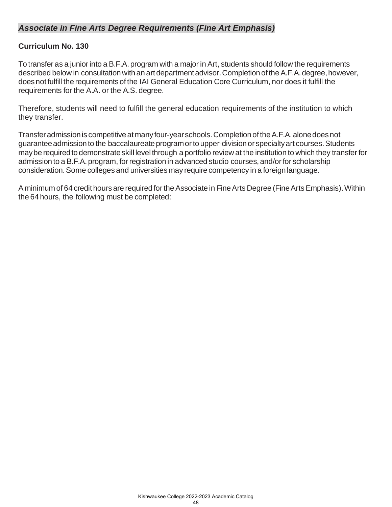### *Associate in Fine Arts Degree Requirements (Fine Art Emphasis)*

### **Curriculum No. 130**

To transfer as a junior into a B.F.A. program with a major in Art, students should follow the requirements described below in consultation with an art department advisor. Completion of the A.F.A. degree, however, doesnotfulfill the requirementsofthe IAI General Education Core Curriculum, nor does it fulfill the requirements for the A.A. or the A.S. degree.

Therefore, students will need to fulfill the general education requirements of the institution to which they transfer.

Transfer admission is competitive at many four-year schools. Completion of the A.F.A. alone does not guarantee admission to the baccalaureate program or to upper-division or specialty art courses. Students may be required to demonstrate skill level through a portfolio review at the institution to which they transfer for admission to a B.F.A. program, for registration in advanced studio courses, and/or for scholarship consideration.Some colleges and universities may require competency in a foreignlanguage.

A minimum of 64 credit hours are required for the Associate in Fine Arts Degree (Fine Arts Emphasis). Within the 64 hours, the following must be completed: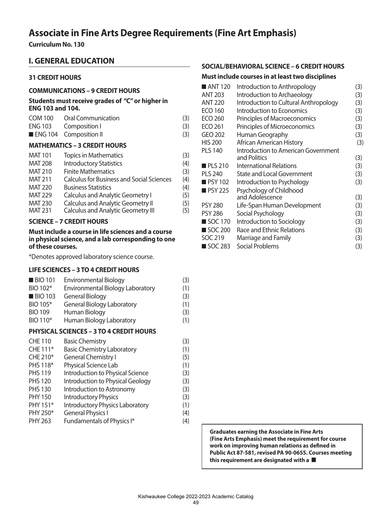## **Associate in Fine Arts Degree Requirements (Fine Art Emphasis)**

**Curriculum No. 130**

### **I. GENERAL EDUCATION**

#### **31 CREDIT HOURS**

#### **COMMUNICATIONS – 9 CREDIT HOURS**

#### **Students must receive grades of "C" or higher in ENG 103 and 104.**

|         | ____________________________________ |     |
|---------|--------------------------------------|-----|
|         | ENG 104 Composition II               | (3) |
|         | ENG 103 Composition I                | (3) |
| COM 100 | Oral Communication                   | (3) |

#### **MATHEMATICS – 3 CREDIT HOURS**

| <b>MAT 101</b> | <b>Topics in Mathematics</b>                     | (3) |
|----------------|--------------------------------------------------|-----|
| <b>MAT 208</b> | <b>Introductory Statistics</b>                   | (4) |
| <b>MAT 210</b> | <b>Finite Mathematics</b>                        | (3) |
| <b>MAT 211</b> | <b>Calculus for Business and Social Sciences</b> | (4) |
| <b>MAT 220</b> | <b>Business Statistics</b>                       | (4) |
| <b>MAT 229</b> | <b>Calculus and Analytic Geometry I</b>          | (5) |
| <b>MAT 230</b> | <b>Calculus and Analytic Geometry II</b>         | (5) |
| <b>MAT 231</b> | <b>Calculus and Analytic Geometry III</b>        | (5) |
|                |                                                  |     |

#### **SCIENCE – 7 CREDIT HOURS**

#### **Must include a course in life sciences and a course in physical science, and a lab corresponding to one of these courses.**

\*Denotes approved laboratory science course.

#### **LIFE SCIENCES – 3 TO 4 CREDIT HOURS**

| <b>BIO 101</b>                                 | <b>Environmental Biology</b>      | (3) |
|------------------------------------------------|-----------------------------------|-----|
| BIO 102*                                       | Environmental Biology Laboratory  | (1) |
| <b>BIO 103</b>                                 | <b>General Biology</b>            | (3) |
| BIO 105*                                       | <b>General Biology Laboratory</b> | (1) |
| <b>BIO 109</b>                                 | Human Biology                     | (3) |
| BIO 110*                                       | Human Biology Laboratory          | (1) |
| <b>PHYSICAL SCIENCES - 3 TO 4 CREDIT HOURS</b> |                                   |     |

| <b>CHE 110</b> | <b>Basic Chemistry</b>                 | (3) |
|----------------|----------------------------------------|-----|
| CHE 111*       | <b>Basic Chemistry Laboratory</b>      | (1) |
| CHE 210*       | <b>General Chemistry I</b>             | (5) |
| PHS 118*       | Physical Science Lab                   | (1) |
| <b>PHS 119</b> | Introduction to Physical Science       | (3) |
| <b>PHS 120</b> | Introduction to Physical Geology       | (3) |
| <b>PHS 130</b> | Introduction to Astronomy              | (3) |
| <b>PHY 150</b> | <b>Introductory Physics</b>            | (3) |
| PHY 151*       | <b>Introductory Physics Laboratory</b> | (1) |
| PHY 250*       | <b>General Physics I</b>               | (4) |
| <b>PHY 263</b> | Fundamentals of Physics I*             | (4) |
|                |                                        |     |

#### **SOCIAL/BEHAVIORAL SCIENCE – 6 CREDIT HOURS**

#### **Must include courses in at least two disciplines**

| $\blacksquare$ ANT 120 | Introduction to Anthropology          | (3) |
|------------------------|---------------------------------------|-----|
| <b>ANT 203</b>         | Introduction to Archaeology           | (3) |
| <b>ANT 220</b>         | Introduction to Cultural Anthropology | (3) |
| <b>ECO 160</b>         | Introduction to Economics             | (3) |
| ECO 260                | Principles of Macroeconomics          | (3) |
| <b>ECO 261</b>         | Principles of Microeconomics          | (3) |
| GEO 202                | Human Geography                       | (3) |
| <b>HIS 200</b>         | African American History              | (3) |
| <b>PLS 140</b>         | Introduction to American Government   |     |
|                        | and Politics                          | (3) |
| <b>PLS 210</b>         | International Relations               | (3) |
| <b>PLS 240</b>         | <b>State and Local Government</b>     | (3) |
| <b>PSY 102</b>         | Introduction to Psychology            | (3) |
| PSY225                 | Psychology of Childhood               |     |
|                        | and Adolescence                       | (3) |
| <b>PSY 280</b>         | Life-Span Human Development           | (3) |
| <b>PSY 286</b>         | Social Psychology                     | (3) |
| $\blacksquare$ SOC 170 | Introduction to Sociology             | (3) |
| SOC 200                | Race and Ethnic Relations             | (3) |
| SOC 219                | Marriage and Family                   | (3) |
| ■ SOC 283              | Social Problems                       | (3) |

**Graduates earning the Associate in Fine Arts (Fine Arts Emphasis) meet the requirement for course work on improving human relations as defined in Public Act 87-581, revised PA 90-0655. Courses meeting**  this requirement are designated with a  $\blacksquare$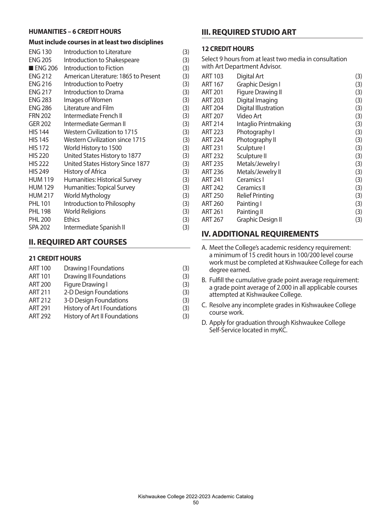#### **HUMANITIES – 6 CREDIT HOURS**

#### **Must include courses in at least two disciplines**

| <b>ENG 130</b>         | Introduction to Literature             | (3) |
|------------------------|----------------------------------------|-----|
| <b>ENG 205</b>         | Introduction to Shakespeare            | (3) |
| $\blacksquare$ ENG 206 | Introduction to Fiction                | (3) |
| <b>ENG 212</b>         | American Literature: 1865 to Present   | (3) |
| <b>ENG 216</b>         | Introduction to Poetry                 | (3) |
| <b>ENG 217</b>         | Introduction to Drama                  | (3) |
| <b>ENG 283</b>         | Images of Women                        | (3) |
| <b>ENG 286</b>         | Literature and Film                    | (3) |
| <b>FRN 202</b>         | Intermediate French II                 | (3) |
| <b>GER 202</b>         | Intermediate German II                 | (3) |
| <b>HIS 144</b>         | Western Civilization to 1715           | (3) |
| <b>HIS 145</b>         | <b>Western Civilization since 1715</b> | (3) |
| <b>HIS 172</b>         | World History to 1500                  | (3) |
| <b>HIS 220</b>         | United States History to 1877          | (3) |
| <b>HIS 222</b>         | United States History Since 1877       | (3) |
| <b>HIS 249</b>         | History of Africa                      | (3) |
| <b>HUM 119</b>         | Humanities: Historical Survey          | (3) |
| <b>HUM 129</b>         | Humanities: Topical Survey             | (3) |
| <b>HUM 217</b>         | World Mythology                        | (3) |
| <b>PHL 101</b>         | Introduction to Philosophy             | (3) |
| <b>PHL 198</b>         | <b>World Religions</b>                 | (3) |
| <b>PHL 200</b>         | <b>Ethics</b>                          | (3) |
| <b>SPA 202</b>         | Intermediate Spanish II                | (3) |
|                        |                                        |     |

### **II. REQUIRED ART COURSES**

#### **21 CREDIT HOURS**

| <b>ART 100</b> | <b>Drawing I Foundations</b>  | (3) |
|----------------|-------------------------------|-----|
| <b>ART 101</b> | <b>Drawing II Foundations</b> | (3) |
| <b>ART 200</b> | Figure Drawing I              | (3) |
| <b>ART 211</b> | 2-D Design Foundations        | (3) |
| <b>ART 212</b> | 3-D Design Foundations        | (3) |
| <b>ART 291</b> | History of Art I Foundations  | (3) |
| <b>ART 292</b> | History of Art II Foundations | (3) |
|                |                               |     |

### **III. REQUIRED STUDIO ART**

#### **12 CREDIT HOURS**

Select 9 hours from at least two media in consultation with Art Department Advisor.

| ART 103        | Digital Art              | (3) |
|----------------|--------------------------|-----|
| ART 167        | Graphic Design I         | (3) |
| <b>ART 201</b> | <b>Figure Drawing II</b> | (3) |
| <b>ART 203</b> | Digital Imaging          | (3) |
| <b>ART 204</b> | Digital Illustration     | (3) |
| <b>ART 207</b> | Video Art                | (3) |
| <b>ART 214</b> | Intaglio Printmaking     | (3) |
| <b>ART 223</b> | Photography I            | (3) |
| <b>ART 224</b> | Photography II           | (3) |
| <b>ART 231</b> | Sculpture I              | (3) |
| <b>ART 232</b> | Sculpture II             | (3) |
| <b>ART 235</b> | Metals/Jewelry I         | (3) |
| <b>ART 236</b> | Metals/Jewelry II        | (3) |
| <b>ART 241</b> | Ceramics I               | (3) |
| <b>ART 242</b> | Ceramics II              | (3) |
| <b>ART 250</b> | <b>Relief Printing</b>   | (3) |
| <b>ART 260</b> | Painting I               | (3) |
| ART 261        | Painting II              | (3) |
| ART 267        | Graphic Design II        | (3) |
|                |                          |     |

### **IV. ADDITIONAL REQUIREMENTS**

- A. Meet the College's academic residency requirement: a minimum of 15 credit hours in 100/200 level course work must be completed at Kishwaukee College for each degree earned.
- B. Fulfill the cumulative grade point average requirement: a grade point average of 2.000 in all applicable courses attempted at Kishwaukee College.
- C. Resolve any incomplete grades in Kishwaukee College course work.
- D. Apply for graduation through Kishwaukee College Self-Service located in myKC.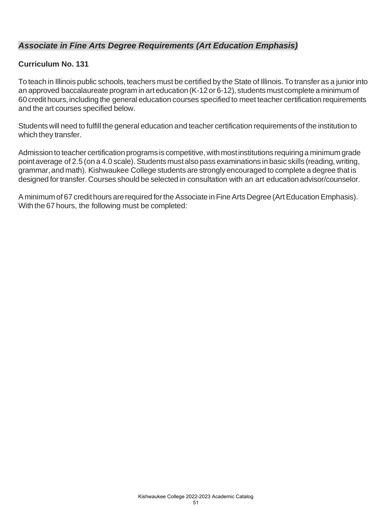### *Associate in Fine Arts Degree Requirements (Art Education Emphasis)*

### **Curriculum No. 131**

To teach in Illinois public schools, teachers must be certified by the State of Illinois.To transfer as a juniorinto an approved baccalaureate program in art education (K-12 or 6-12), students must complete a minimum of 60 credithours,including the general education courses specified to meet teacher certification requirements and the art courses specified below.

Students will need to fulfill the general education and teacher certification requirements of the institution to which they transfer.

Admission to teacher certification programs is competitive, with most institutions requiring a minimum grade point average of 2.5 (on a 4.0 scale). Students must also pass examinations in basic skills (reading, writing, grammar,and math). Kishwaukee College students are strongly encouraged to complete a degree thatis designed for transfer.Courses should be selected in consultation with an art educationadvisor/counselor.

A minimum of 67 credit hours are required for the Associate in Fine Arts Degree (Art Education Emphasis). With the 67 hours, the following must be completed: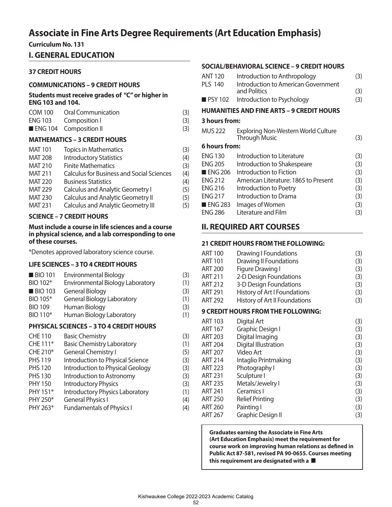## **Associate in Fine Arts Degree Requirements (Art Education Emphasis)**

**Curriculum No. 131** 

### **I. GENERAL EDUCATION**

#### **37 CREDIT HOURS**

#### **COMMUNICATIONS – 9 CREDIT HOURS**

**Students must receive grades of "C" or higher in ENG 103 and 104.**

| COM 100 Oral Communication | (3) |
|----------------------------|-----|
| ENG 103 Composition I      | (3) |
| ENG 104 Composition II     | (3) |

#### **MATHEMATICS – 3 CREDIT HOURS**

| <b>Topics in Mathematics</b>                     | (3) |
|--------------------------------------------------|-----|
| <b>Introductory Statistics</b>                   | (4) |
| <b>Finite Mathematics</b>                        | (3) |
| <b>Calculus for Business and Social Sciences</b> | (4) |
| <b>Business Statistics</b>                       | (4) |
| Calculus and Analytic Geometry I                 | (5) |
| <b>Calculus and Analytic Geometry II</b>         | (5) |
| <b>Calculus and Analytic Geometry III</b>        | (5) |
|                                                  |     |

#### **SCIENCE – 7 CREDIT HOURS**

#### **Must include a course in life sciences and a course in physical science, and a lab corresponding to one of these courses.**

\*Denotes approved laboratory science course.

#### **LIFE SCIENCES – 3 TO 4 CREDIT HOURS**

| <b>BIO 101</b> | <b>Environmental Biology</b>            | (3) |
|----------------|-----------------------------------------|-----|
| BIO 102*       | <b>Environmental Biology Laboratory</b> | (1) |
| <b>BIO 103</b> | <b>General Biology</b>                  | (3) |
| BIO 105*       | <b>General Biology Laboratory</b>       | (1) |
| <b>BIO 109</b> | Human Biology                           | (3) |
| BIO 110*       | Human Biology Laboratory                | (1) |
|                |                                         |     |

#### **PHYSICAL SCIENCES – 3 TO 4 CREDIT HOURS**

| <b>Basic Chemistry</b>            | (3)                                    |
|-----------------------------------|----------------------------------------|
| <b>Basic Chemistry Laboratory</b> | (1)                                    |
| <b>General Chemistry I</b>        | (5)                                    |
| Introduction to Physical Science  | (3)                                    |
| Introduction to Physical Geology  | (3)                                    |
| Introduction to Astronomy         | (3)                                    |
| <b>Introductory Physics</b>       | (3)                                    |
|                                   | (1)                                    |
| <b>General Physics I</b>          | (4)                                    |
| <b>Fundamentals of Physics I</b>  | (4)                                    |
|                                   | <b>Introductory Physics Laboratory</b> |

#### **SOCIAL/BEHAVIORAL SCIENCE – 9 CREDIT HOURS**

| <b>ANT 120</b>         | Introduction to Anthropology                                       | (3) |
|------------------------|--------------------------------------------------------------------|-----|
| <b>PLS 140</b>         | Introduction to American Government<br>and Politics                | (3) |
| <b>PSY 102</b>         | Introduction to Psychology                                         | (3) |
|                        | <b>HUMANITIES AND FINE ARTS - 9 CREDIT HOURS</b>                   |     |
| 3 hours from:          |                                                                    |     |
| MUS 222                | <b>Exploring Non-Western World Culture</b><br><b>Through Music</b> | (3) |
| <b>6 hours from:</b>   |                                                                    |     |
| <b>ENG 130</b>         | Introduction to Literature                                         | (3) |
| <b>ENG 205</b>         | Introduction to Shakespeare                                        | (3) |
| $\blacksquare$ ENG 206 | Introduction to Fiction                                            | (3) |
| <b>ENG 212</b>         | American Literature: 1865 to Present                               | (3) |
| <b>ENG 216</b>         | Introduction to Poetry                                             | (3) |
| <b>ENG 217</b>         | Introduction to Drama                                              | (3) |
| $\blacksquare$ ENG 283 | Images of Women                                                    | (3) |
| <b>ENG 286</b>         | Literature and Film                                                | (3) |

### **II. REQUIRED ART COURSES**

### **21 CREDIT HOURS FROM THE FOLLOWING:**

| <b>ART 100</b> | <b>Drawing I Foundations</b>              | (3) |
|----------------|-------------------------------------------|-----|
| ART 101        | <b>Drawing II Foundations</b>             | (3) |
| <b>ART 200</b> | <b>Figure Drawing I</b>                   | (3) |
| <b>ART 211</b> | 2-D Design Foundations                    | (3) |
| <b>ART 212</b> | 3-D Design Foundations                    | (3) |
| <b>ART 291</b> | History of Art I Foundations              | (3) |
| <b>ART 292</b> | History of Art II Foundations             | (3) |
|                | <b>9 CREDIT HOURS FROM THE FOLLOWING:</b> |     |
| <b>ART 103</b> | Digital Art                               | (3) |
| ART 167        | Graphic Design I                          | (3) |
| <b>ART 203</b> | Digital Imaging                           | (3) |
| <b>ART 204</b> | Digital Illustration                      | (3) |
| <b>ART 207</b> | Video Art                                 | (3) |
| <b>ART 214</b> | Intaglio Printmaking                      | (3) |
| <b>ART 223</b> | Photography I                             | (3) |
| <b>ART 231</b> | Sculpture I                               | (3) |
| <b>ART 235</b> | Metals/Jewelry I                          | (3) |
| <b>ART 241</b> | Ceramics I                                | (3) |
| <b>ART 250</b> | <b>Relief Printing</b>                    | (3) |
| <b>ART 260</b> | Painting I                                | (3) |
| <b>ART 267</b> | <b>Graphic Design II</b>                  | (3) |

**Graduates earning the Associate in Fine Arts (Art Education Emphasis) meet the requirement for course work on improving human relations as defined in Public Act 87-581, revised PA 90-0655. Courses meeting**  this requirement are designated with a  $\blacksquare$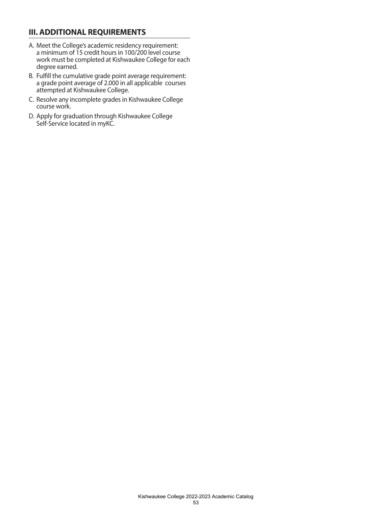### **III. ADDITIONAL REQUIREMENTS**

- A. Meet the College's academic residency requirement: a minimum of 15 credit hours in 100/200 level course work must be completed at Kishwaukee College for each degree earned.
- B. Fulfill the cumulative grade point average requirement: a grade point average of 2.000 in all applicable courses attempted at Kishwaukee College.
- C. Resolve any incomplete grades in Kishwaukee College course work.
- D. Apply for graduation through Kishwaukee College Self-Service located in myKC.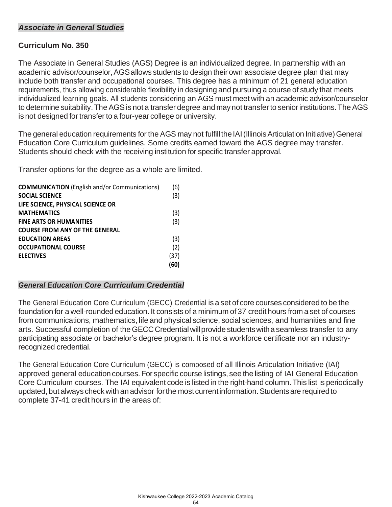### *Associate in General Studies*

### **Curriculum No. 350**

The Associate in General Studies (AGS) Degree is an individualized degree. In partnership with an academic advisor/counselor, AGS allows students to design their own associate degree plan that may include both transfer and occupational courses. This degree has a minimum of 21 general education requirements, thus allowing considerable flexibility in designing and pursuing a course of study that meets individualized learning goals. All students considering an AGS must meet with an academic advisor/counselor to determine suitability. The AGS is not a transfer degree and may not transfer to senior institutions. The AGS is not designed for transfer to a four-year college or university.

The general education requirements for the AGS may not fulfill the IAI (Illinois Articulation Initiative) General Education Core Curriculum guidelines. Some credits earned toward the AGS degree may transfer. Students should check with the receiving institution for specific transfer approval.

Transfer options for the degree as a whole are limited.

| <b>COMMUNICATION</b> (English and/or Communications) | (6)  |
|------------------------------------------------------|------|
| <b>SOCIAL SCIENCE</b>                                | (3)  |
| LIFE SCIENCE, PHYSICAL SCIENCE OR                    |      |
| <b>MATHEMATICS</b>                                   | (3)  |
| <b>FINE ARTS OR HUMANITIES</b>                       | (3)  |
| <b>COURSE FROM ANY OF THE GENERAL</b>                |      |
| <b>EDUCATION AREAS</b>                               | (3)  |
| <b>OCCUPATIONAL COURSE</b>                           | (2)  |
| <b>ELECTIVES</b>                                     | (37) |
|                                                      | (60) |

#### *General Education Core Curriculum Credential*

The General Education Core Curriculum (GECC) Credential is a set of core courses considered to be the foundation for a well-rounded education. It consists of a minimum of 37 credit hours from a set of courses from communications, mathematics, life and physical science, social sciences, and humanities and fine arts. Successful completion of the GECC Credential will provide students with a seamless transfer to any participating associate or bachelor's degree program. It is not a workforce certificate nor an industryrecognized credential.

The General Education Core Curriculum (GECC) is composed of all Illinois Articulation Initiative (IAI) approved general education courses. For specific course listings, see the listing of IAI General Education Core Curriculum courses. The IAI equivalent code is listed in the right-hand column.This list is periodically updated, but always check with an advisor for the most current information. Students are required to complete 37-41 credit hours in the areas of: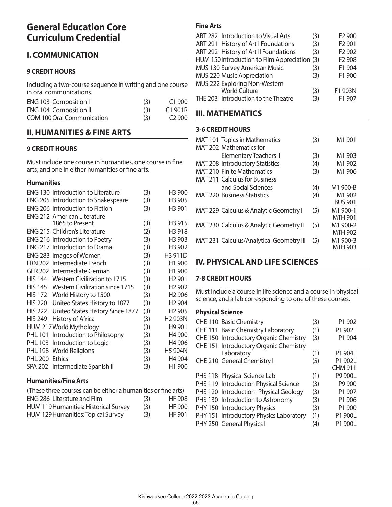## **General Education Core Curriculum Credential**

### **I. COMMUNICATION**

#### **9 CREDIT HOURS**

Including a two-course sequence in writing and one course in oral communications.

| ENG 103 Composition I         | (3) | C1900    |
|-------------------------------|-----|----------|
| <b>ENG 104 Composition II</b> | (3) | C1 901R  |
| COM 100 Oral Communication    | (3) | $C2$ 900 |

### **II. HUMANITIES & FINE ARTS**

#### **9 CREDIT HOURS**

Must include one course in humanities, one course in fine arts, and one in either humanities or fine arts.

#### **Humanities**

| <b>ENG 130 Introduction to Literature</b> | (3) | H <sub>3</sub> 900  |
|-------------------------------------------|-----|---------------------|
| ENG 205 Introduction to Shakespeare       | (3) | H <sub>3</sub> 905  |
| <b>ENG 206 Introduction to Fiction</b>    | (3) | H3 901              |
| <b>ENG 212 American Literature</b>        |     |                     |
| 1865 to Present                           | (3) | H3 915              |
| ENG 215 Children's Literature             | (2) | H <sub>3</sub> 918  |
| ENG 216 Introduction to Poetry            | (3) | H <sub>3</sub> 903  |
| <b>ENG 217 Introduction to Drama</b>      | (3) | H <sub>3</sub> 902  |
| ENG 283 Images of Women                   | (3) | H3 911D             |
| FRN 202 Intermediate French               | (3) | H <sub>1</sub> 900  |
| GER 202 Intermediate German               | (3) | H1 900              |
| HIS 144 Western Civilization to 1715      | (3) | H <sub>2</sub> 901  |
| HIS 145 Western Civilization since 1715   | (3) | H <sub>2</sub> 902  |
| World History to 1500                     | (3) | H <sub>2</sub> 906  |
| United States History to 1877             | (3) | H <sub>2</sub> 904  |
| United States History Since 1877          | (3) | H <sub>2</sub> 905  |
| History of Africa                         | (3) | H <sub>2</sub> 903N |
| HUM 217 World Mythology                   | (3) | H <sub>9</sub> 901  |
| Introduction to Philosophy                | (3) | H4 900              |
| Introduction to Logic                     | (3) | H4 906              |
| <b>World Religions</b>                    | (3) | H5 904N             |
| <b>Ethics</b>                             | (3) | H4 904              |
| SPA 202 Intermediate Spanish II           | (3) | H1 900              |
|                                           |     |                     |

#### **Humanities/Fine Arts**

| (These three courses can be either a humanities or fine arts) |     |               |  |
|---------------------------------------------------------------|-----|---------------|--|
| <b>ENG 286 Literature and Film</b>                            | (3) | <b>HF 908</b> |  |
| <b>HUM 119 Humanities: Historical Survey</b>                  | (3) | HF 900        |  |
| HUM 129 Humanities: Topical Survey                            | (3) | HF 901        |  |

### **Fine Arts**

| ART 282 Introduction to Visual Arts           | (3) | F2 900                         |
|-----------------------------------------------|-----|--------------------------------|
| ART 291 History of Art I Foundations          | (3) | F <sub>2</sub> 901             |
| ART 292 History of Art II Foundations         | (3) | F <sub>2</sub> 90 <sub>2</sub> |
| HUM 150 Introduction to Film Appreciation (3) |     | F2 908                         |
| MUS 130 Survey American Music                 | (3) | F1 904                         |
| MUS 220 Music Appreciation                    | (3) | F1 900                         |
| MUS 222 Exploring Non-Western                 |     |                                |
| <b>World Culture</b>                          | (3) | F1 903N                        |
| THE 203 Introduction to the Theatre           | (3) | F1 907                         |

### **III. MATHEMATICS**

#### **3-6 CREDIT HOURS**

| MAT 101 Topics in Mathematics            | (3) | M <sub>1</sub> 901                               |
|------------------------------------------|-----|--------------------------------------------------|
| MAT 202 Mathematics for                  |     |                                                  |
| <b>Elementary Teachers II</b>            | (3) | M <sub>1</sub> 903                               |
| MAT 208 Introductory Statistics          | (4) | M <sub>1</sub> 90 <sub>2</sub>                   |
| <b>MAT 210 Finite Mathematics</b>        | (3) | M <sub>1</sub> 906                               |
| <b>MAT 211 Calculus for Business</b>     |     |                                                  |
| and Social Sciences                      | (4) | M1 900-B                                         |
| <b>MAT 220 Business Statistics</b>       | (4) | M <sub>1</sub> 90 <sub>2</sub><br><b>BUS 901</b> |
| MAT 229 Calculus & Analytic Geometry I   | (5) | M1 900-1<br><b>MTH 901</b>                       |
| MAT 230 Calculus & Analytic Geometry II  | (5) | M1 900-2<br><b>MTH 902</b>                       |
| MAT 231 Calculus/Analytical Geometry III | (5) | M1 900-3<br>MTH 903                              |

### **IV. PHYSICAL AND LIFE SCIENCES**

#### **7-8 CREDIT HOURS**

Must include a course in life science and a course in physical science, and a lab corresponding to one of these courses.

#### **Physical Science**

| CHE 110 Basic Chemistry                 | (3) | P1 902         |
|-----------------------------------------|-----|----------------|
| CHE 111 Basic Chemistry Laboratory      | (1) | P1 902L        |
| CHE 150 Introductory Organic Chemistry  | (3) | P1 904         |
| CHE 151 Introductory Organic Chemistry  |     |                |
| Laboratory                              | (1) | P1 904L        |
| CHE 210 General Chemistry I             | (5) | P1 902L        |
|                                         |     | <b>CHM 911</b> |
| PHS 118 Physical Science Lab            | (1) | P9 900L        |
| PHS 119 Introduction Physical Science   | (3) | P9 900         |
| PHS 120 Introduction-Physical Geology   | (3) | P1 907         |
| PHS 130 Introduction to Astronomy       | (3) | P1 906         |
| PHY 150 Introductory Physics            | (3) | P1 900         |
| PHY 151 Introductory Physics Laboratory | (1) | P1 900L        |
| PHY 250 General Physics I               | (4) | P1 900L        |